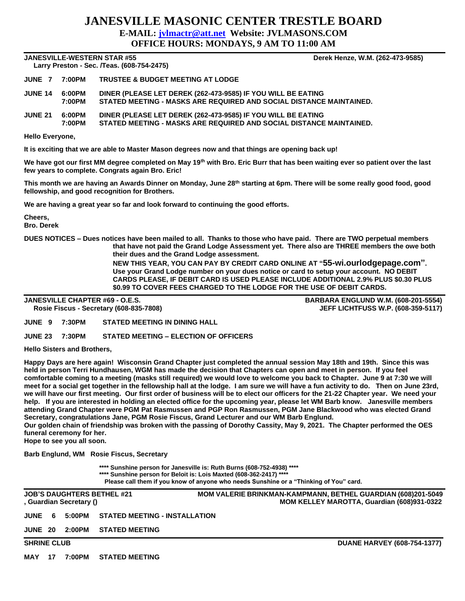## **JANESVILLE MASONIC CENTER TRESTLE BOARD E-MAIL: [jvlmactr@att.net](mailto:jvlmactr@att.net) Website: JVLMASONS.COM OFFICE HOURS: MONDAYS, 9 AM TO 11:00 AM**

### **JANESVILLE-WESTERN STAR #55 Derek Henze, W.M. (262-473-9585)**

 **Larry Preston - Sec. /Teas. (608-754-2475)** 

|                           | JUNE 7  7:00PM   TRUSTEE & BUDGET MEETING AT LODGE                                                                                  |
|---------------------------|-------------------------------------------------------------------------------------------------------------------------------------|
| JUNE 14  6:00PM<br>7:00PM | DINER (PLEASE LET DEREK (262-473-9585) IF YOU WILL BE EATING<br>STATED MEETING - MASKS ARE REQUIRED AND SOCIAL DISTANCE MAINTAINED. |
|                           |                                                                                                                                     |

**JUNE 21 6:00PM DINER (PLEASE LET DEREK (262-473-9585) IF YOU WILL BE EATING 7:00PM STATED MEETING - MASKS ARE REQUIRED AND SOCIAL DISTANCE MAINTAINED.**

#### **Hello Everyone,**

**It is exciting that we are able to Master Mason degrees now and that things are opening back up!**

**We have got our first MM degree completed on May 19th with Bro. Eric Burr that has been waiting ever so patient over the last few years to complete. Congrats again Bro. Eric!**

**This month we are having an Awards Dinner on Monday, June 28th starting at 6pm. There will be some really good food, good fellowship, and good recognition for Brothers.**

**We are having a great year so far and look forward to continuing the good efforts.**

**Cheers,**

**Bro. Derek**

**DUES NOTICES – Dues notices have been mailed to all. Thanks to those who have paid. There are TWO perpetual members that have not paid the Grand Lodge Assessment yet. There also are THREE members the owe both their dues and the Grand Lodge assessment.** 

> **NEW THIS YEAR, YOU CAN PAY BY CREDIT CARD ONLINE AT "55-wi.ourlodgepage.com". Use your Grand Lodge number on your dues notice or card to setup your account. NO DEBIT CARDS PLEASE, IF DEBIT CARD IS USED PLEASE INCLUDE ADDITIONAL 2.9% PLUS \$0.30 PLUS \$0.99 TO COVER FEES CHARGED TO THE LODGE FOR THE USE OF DEBIT CARDS.**

**JANESVILLE CHAPTER #69 - O.E.S. BARBARA ENGLUND W.M. (608-201-5554) Rosie Fiscus - Secretary (608-835-7808) JEFF LICHTFUSS W.P. (608-359-5117)**

**JUNE 9 7:30PM STATED MEETING IN DINING HALL**

**JUNE 23 7:30PM STATED MEETING – ELECTION OF OFFICERS**

**Hello Sisters and Brothers,**

**Happy Days are here again! Wisconsin Grand Chapter just completed the annual session May 18th and 19th. Since this was held in person Terri Hundhausen, WGM has made the decision that Chapters can open and meet in person. If you feel comfortable coming to a meeting (masks still required) we would love to welcome you back to Chapter. June 9 at 7:30 we will meet for a social get together in the fellowship hall at the lodge. I am sure we will have a fun activity to do. Then on June 23rd, we will have our first meeting. Our first order of business will be to elect our officers for the 21-22 Chapter year. We need your help. If you are interested in holding an elected office for the upcoming year, please let WM Barb know. Janesville members attending Grand Chapter were PGM Pat Rasmussen and PGP Ron Rasmussen, PGM Jane Blackwood who was elected Grand Secretary, congratulations Jane, PGM Rosie Fiscus, Grand Lecturer and our WM Barb Englund.**

**Our golden chain of friendship was broken with the passing of Dorothy Cassity, May 9, 2021. The Chapter performed the OES funeral ceremony for her.**

**Hope to see you all soon.**

**Barb Englund, WM Rosie Fiscus, Secretary**

**\*\*\*\* Sunshine person for Janesville is: Ruth Burns (608-752-4938) \*\*\*\* \*\*\*\* Sunshine person for Beloit is: Lois Maxted (608-362-2417) \*\*\*\* Please call them if you know of anyone who needs Sunshine or a "Thinking of You" card.**

**JOB'S DAUGHTERS BETHEL #21 MOM VALERIE BRINKMAN-KAMPMANN, BETHEL GUARDIAN (608)201-5049 , Guardian Secretary () MOM KELLEY MAROTTA, Guardian (608)931-0322**

|  | JUNE    6    5:00PM    STATED MEETING - INSTALLATION |
|--|------------------------------------------------------|
|  |                                                      |

**JUNE 20 2:00PM STATED MEETING** 

**MAY 17 7:00PM STATED MEETING**

**SHRINE CLUB CLUB CLUB DUANE HARVEY (608-754-1377)**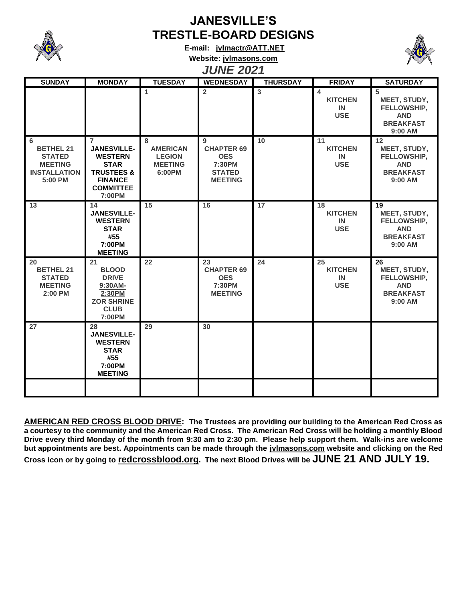

# **JANESVILLE'S TRESTLE-BOARD DESIGNS**

**E-mail: [jvlmactr@ATT.NET](mailto:jvlmactr@ATT.NET) Website: jvlmasons.com**



## *JUNE 2021*

| <b>SUNDAY</b>                                                                              | <b>MONDAY</b>                                                                                                                                  | <b>TUESDAY</b>                                                    | <b>WEDNESDAY</b>                                                                  | <b>THURSDAY</b> | <b>FRIDAY</b>                            | <b>SATURDAY</b>                                                                |
|--------------------------------------------------------------------------------------------|------------------------------------------------------------------------------------------------------------------------------------------------|-------------------------------------------------------------------|-----------------------------------------------------------------------------------|-----------------|------------------------------------------|--------------------------------------------------------------------------------|
|                                                                                            |                                                                                                                                                | 1                                                                 | $\overline{2}$                                                                    | $\overline{3}$  | 4<br><b>KITCHEN</b><br>IN<br><b>USE</b>  | 5<br>MEET, STUDY,<br>FELLOWSHIP,<br><b>AND</b><br><b>BREAKFAST</b><br>9:00 AM  |
| 6<br><b>BETHEL 21</b><br><b>STATED</b><br><b>MEETING</b><br><b>INSTALLATION</b><br>5:00 PM | $\overline{7}$<br><b>JANESVILLE-</b><br><b>WESTERN</b><br><b>STAR</b><br><b>TRUSTEES &amp;</b><br><b>FINANCE</b><br><b>COMMITTEE</b><br>7:00PM | 8<br><b>AMERICAN</b><br><b>LEGION</b><br><b>MEETING</b><br>6:00PM | 9<br><b>CHAPTER 69</b><br><b>OES</b><br>7:30PM<br><b>STATED</b><br><b>MEETING</b> | 10              | 11<br><b>KITCHEN</b><br>IN<br><b>USE</b> | 12<br>MEET, STUDY,<br>FELLOWSHIP,<br><b>AND</b><br><b>BREAKFAST</b><br>9:00 AM |
| 13                                                                                         | 14<br><b>JANESVILLE-</b><br><b>WESTERN</b><br><b>STAR</b><br>#55<br>7:00PM<br><b>MEETING</b>                                                   | 15                                                                | 16                                                                                | 17              | 18<br><b>KITCHEN</b><br>IN<br><b>USE</b> | 19<br>MEET, STUDY,<br>FELLOWSHIP,<br><b>AND</b><br><b>BREAKFAST</b><br>9:00 AM |
| 20<br><b>BETHEL 21</b><br><b>STATED</b><br><b>MEETING</b><br>2:00 PM                       | 21<br><b>BLOOD</b><br><b>DRIVE</b><br>9:30AM-<br>2:30PM<br><b>ZOR SHRINE</b><br><b>CLUB</b><br>7:00PM                                          | 22                                                                | 23<br><b>CHAPTER 69</b><br><b>OES</b><br>7:30PM<br><b>MEETING</b>                 | 24              | 25<br><b>KITCHEN</b><br>IN<br><b>USE</b> | 26<br>MEET, STUDY,<br>FELLOWSHIP,<br><b>AND</b><br><b>BREAKFAST</b><br>9:00 AM |
| 27                                                                                         | 28<br><b>JANESVILLE-</b><br><b>WESTERN</b><br><b>STAR</b><br>#55<br>7:00PM<br><b>MEETING</b>                                                   | 29                                                                | 30                                                                                |                 |                                          |                                                                                |
|                                                                                            |                                                                                                                                                |                                                                   |                                                                                   |                 |                                          |                                                                                |

**AMERICAN RED CROSS BLOOD DRIVE: The Trustees are providing our building to the American Red Cross as a courtesy to the community and the American Red Cross. The American Red Cross will be holding a monthly Blood Drive every third Monday of the month from 9:30 am to 2:30 pm. Please help support them. Walk-ins are welcome but appointments are best. Appointments can be made through the jvlmasons.com website and clicking on the Red Cross icon or by going to redcrossblood.org. The next Blood Drives will be JUNE 21 AND JULY 19.**